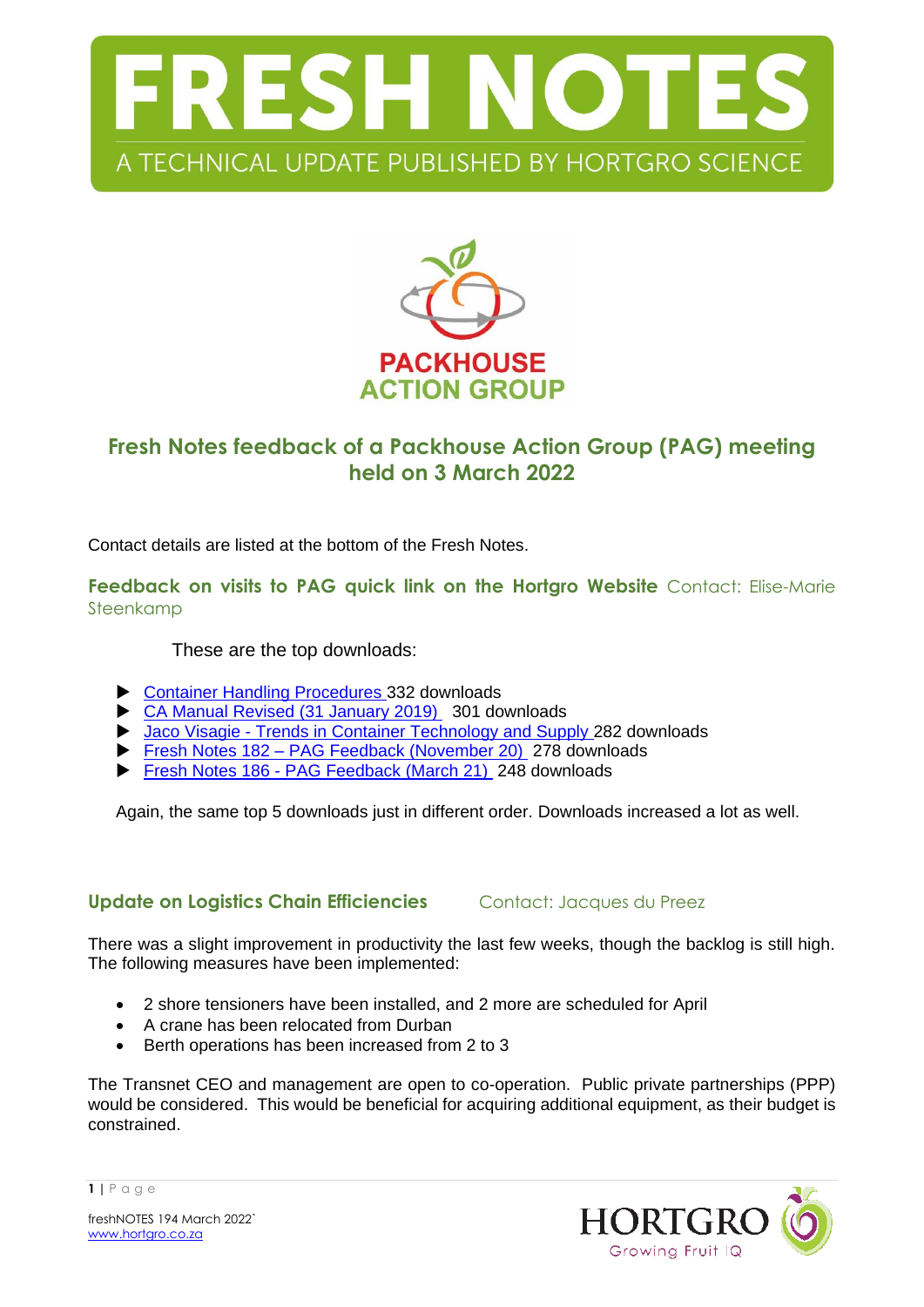



# **Fresh Notes feedback of a Packhouse Action Group (PAG) meeting held on 3 March 2022**

Contact details are listed at the bottom of the Fresh Notes.

**Feedback on visits to PAG quick link on the Hortgro Website** Contact: Elise-Marie Steenkamp

These are the top downloads:

- ▶ [Container Handling Procedures](https://www.hortgro.co.za/download/container-handling-procedures/) 332 downloads
- ▶ [CA Manual Revised \(31 January 2019\)](https://www.hortgro.co.za/download/ca-manual-revised-31-january-2019/) 301 downloads
- Jaco Visagie [Trends in Container Technology and Supply](https://www.hortgro.co.za/download/jaco-visagie-trends-in-container-technology-and-supply/) 282 downloads
- Fresh Notes 182 [PAG Feedback \(November 20\)](https://www.hortgro.co.za/download/fresh-notes-182-pag-feedback-november-20/) 278 downloads
- Fresh Notes 186 [PAG Feedback \(March 21\)](https://www.hortgro.co.za/download/fresh-notes-186-pag-feedback-march-21/) 248 downloads

Again, the same top 5 downloads just in different order. Downloads increased a lot as well.

### **Update on Logistics Chain Efficiencies** Contact: Jacques du Preez

There was a slight improvement in productivity the last few weeks, though the backlog is still high. The following measures have been implemented:

- 2 shore tensioners have been installed, and 2 more are scheduled for April
- A crane has been relocated from Durban
- Berth operations has been increased from 2 to 3

The Transnet CEO and management are open to co-operation. Public private partnerships (PPP) would be considered. This would be beneficial for acquiring additional equipment, as their budget is constrained.



freshNOTES 194 March 2022` [www.hortgro.co.za](http://www.hortgro.co.za/)

**1 |** P a g e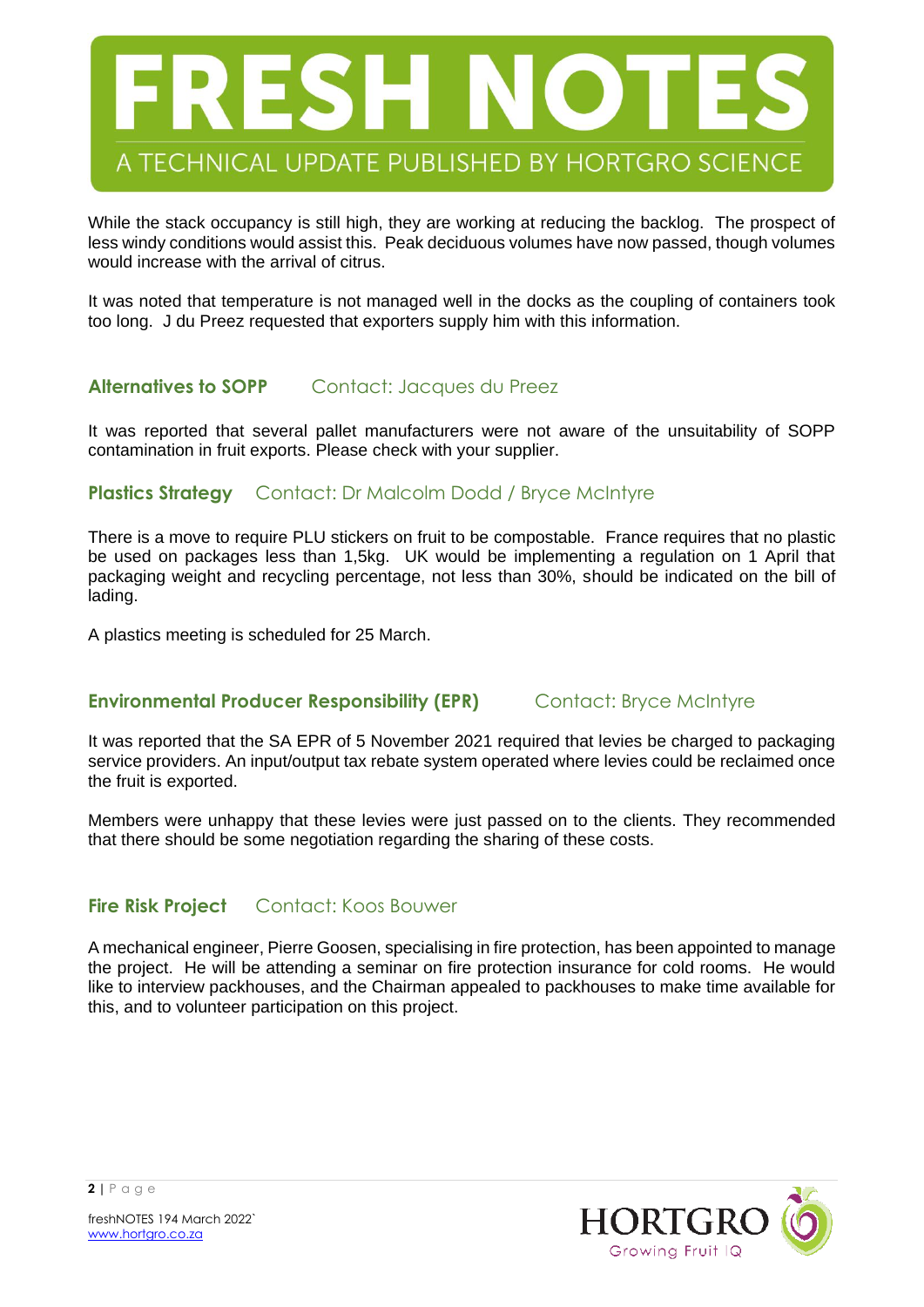

While the stack occupancy is still high, they are working at reducing the backlog. The prospect of less windy conditions would assist this. Peak deciduous volumes have now passed, though volumes would increase with the arrival of citrus.

It was noted that temperature is not managed well in the docks as the coupling of containers took too long. J du Preez requested that exporters supply him with this information.

### **Alternatives to SOPP** Contact: Jacques du Preez

It was reported that several pallet manufacturers were not aware of the unsuitability of SOPP contamination in fruit exports. Please check with your supplier.

### **Plastics Strategy** Contact: Dr Malcolm Dodd / Bryce McIntyre

There is a move to require PLU stickers on fruit to be compostable. France requires that no plastic be used on packages less than 1,5kg. UK would be implementing a regulation on 1 April that packaging weight and recycling percentage, not less than 30%, should be indicated on the bill of lading.

A plastics meeting is scheduled for 25 March.

### **Environmental Producer Responsibility (EPR)** Contact: Bryce McIntyre

It was reported that the SA EPR of 5 November 2021 required that levies be charged to packaging service providers. An input/output tax rebate system operated where levies could be reclaimed once the fruit is exported.

Members were unhappy that these levies were just passed on to the clients. They recommended that there should be some negotiation regarding the sharing of these costs.

### **Fire Risk Project** Contact: Koos Bouwer

A mechanical engineer, Pierre Goosen, specialising in fire protection, has been appointed to manage the project. He will be attending a seminar on fire protection insurance for cold rooms. He would like to interview packhouses, and the Chairman appealed to packhouses to make time available for this, and to volunteer participation on this project.



freshNOTES 194 March 2022` [www.hortgro.co.za](http://www.hortgro.co.za/)

**2 |** P a g e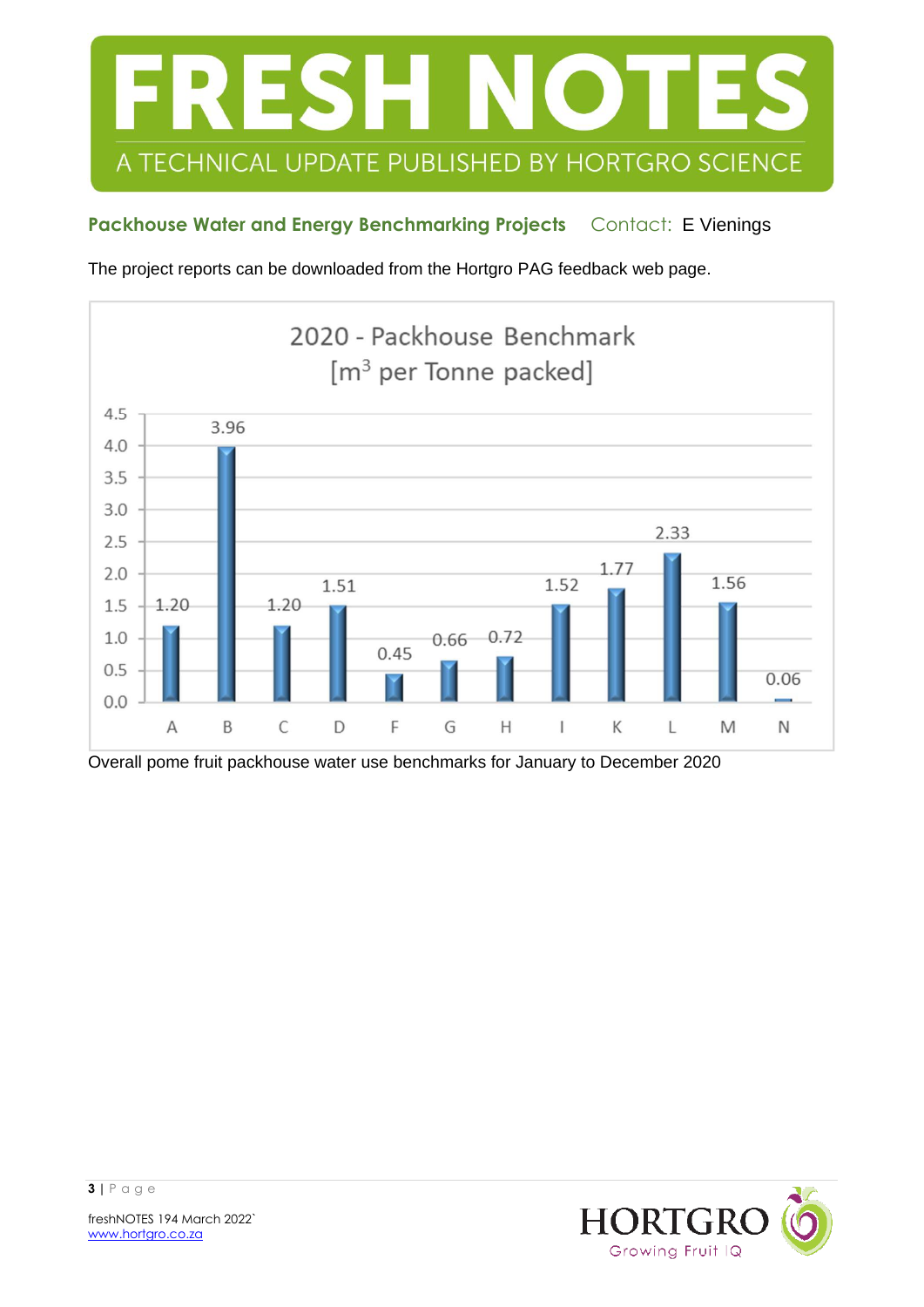

## Packhouse Water and Energy Benchmarking Projects Contact: E Vienings

The project reports can be downloaded from the Hortgro PAG feedback web page.



Overall pome fruit packhouse water use benchmarks for January to December 2020

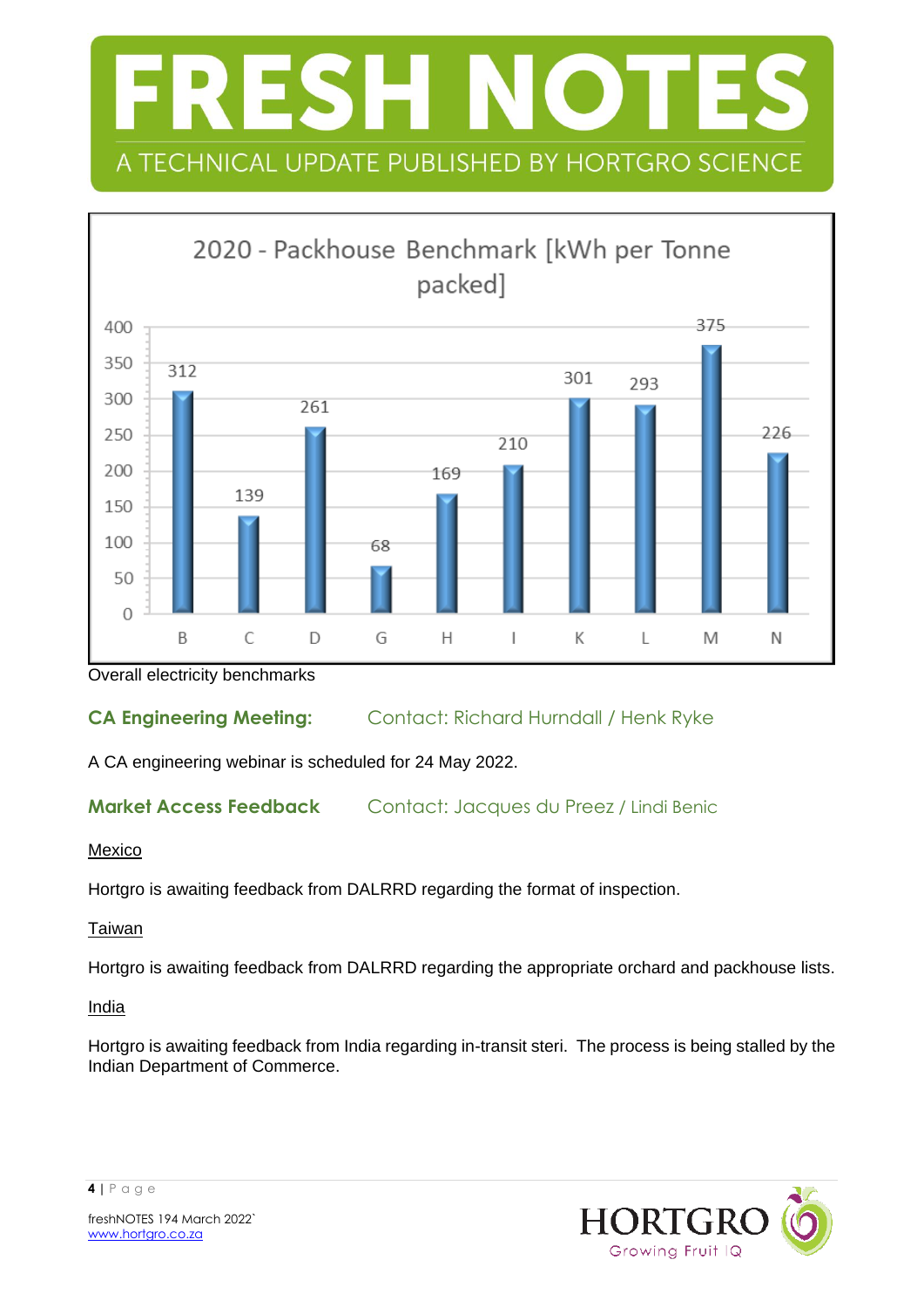



Overall electricity benchmarks

## **CA Engineering Meeting:** Contact: Richard Hurndall / Henk Ryke

A CA engineering webinar is scheduled for 24 May 2022.

## **Market Access Feedback** Contact: Jacques du Preez / Lindi Benic

### Mexico

Hortgro is awaiting feedback from DALRRD regarding the format of inspection.

### Taiwan

Hortgro is awaiting feedback from DALRRD regarding the appropriate orchard and packhouse lists.

### **India**

Hortgro is awaiting feedback from India regarding in-transit steri. The process is being stalled by the Indian Department of Commerce.





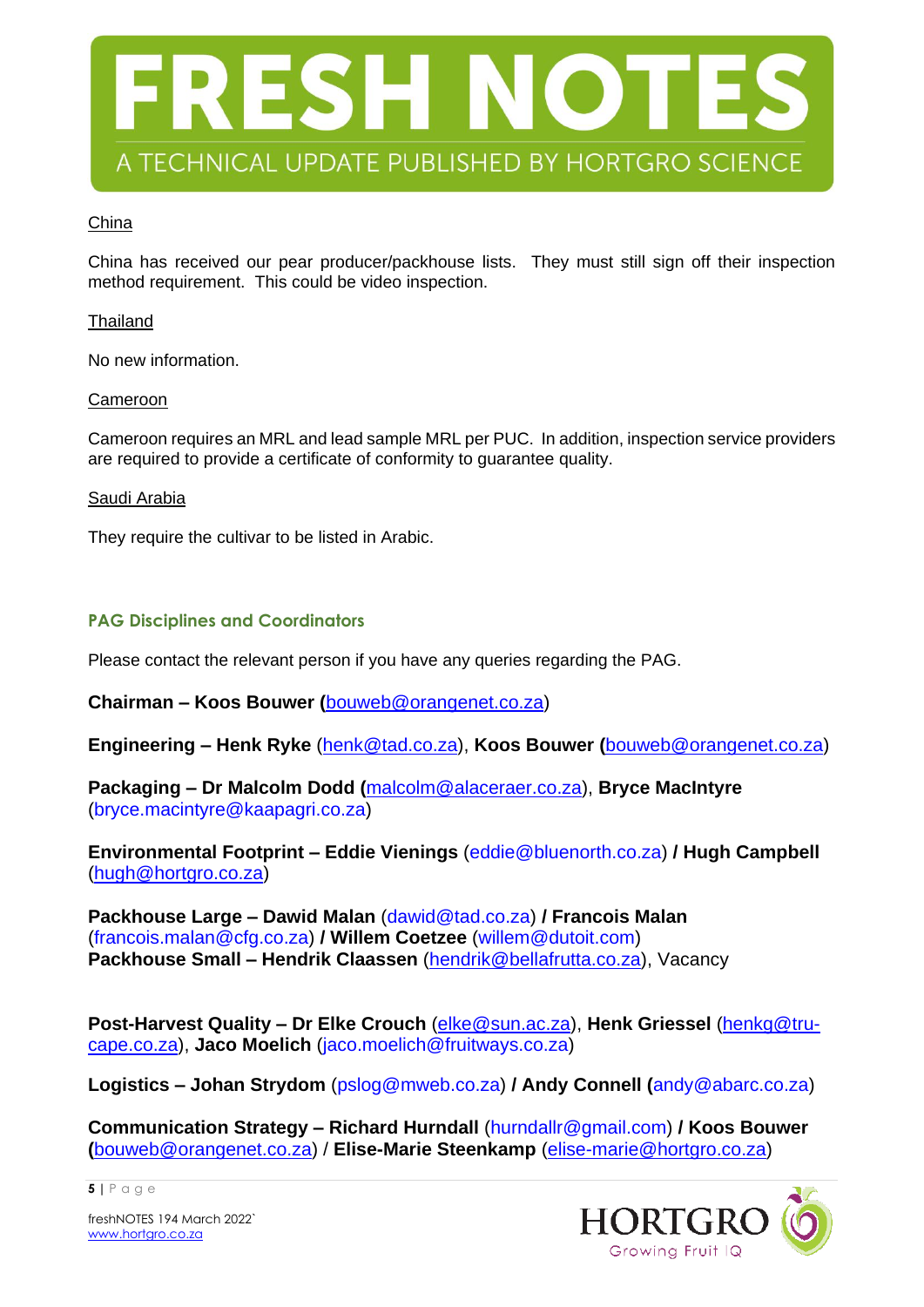

#### China

China has received our pear producer/packhouse lists. They must still sign off their inspection method requirement. This could be video inspection.

#### Thailand

No new information.

#### Cameroon

Cameroon requires an MRL and lead sample MRL per PUC. In addition, inspection service providers are required to provide a certificate of conformity to guarantee quality.

#### Saudi Arabia

They require the cultivar to be listed in Arabic.

#### **PAG Disciplines and Coordinators**

Please contact the relevant person if you have any queries regarding the PAG.

**Chairman – Koos Bouwer (**[bouweb@orangenet.co.za\)](mailto:bouweb@orangenet.co.za)

**Engineering – Henk Ryke** [\(henk@tad.co.za\)](mailto:henk@tad.co.za), **Koos Bouwer (**[bouweb@orangenet.co.za\)](mailto:bouweb@orangenet.co.za)

**Packaging – Dr Malcolm Dodd (**[malcolm@alaceraer.co.za\)](mailto:malcolm@alaceraer.co.za), **Bryce MacIntyre** (bryce.macintyre@kaapagri.co.za)

**Environmental Footprint – Eddie Vienings** (eddie@bluenorth.co.za) **/ Hugh Campbell** [\(hugh@hortgro.co.za\)](mailto:hugh@hortgro.co.za)

**Packhouse Large – Dawid Malan** (dawid@tad.co.za) **/ Francois Malan** (francois.malan@cfg.co.za) **/ Willem Coetzee** [\(willem@dutoit.com\)](mailto:willem@dutoit.com) **Packhouse Small – Hendrik Claassen** [\(hendrik@bellafrutta.co.za\)](mailto:hendrik@bellafrutta.co.za), Vacancy

**Post-Harvest Quality – Dr Elke Crouch** [\(elke@sun.ac.za\)](mailto:elke@sun.ac.za), **Henk Griessel** [\(henkg@tru](mailto:henkg@tru-cape.co.za)[cape.co.za\)](mailto:henkg@tru-cape.co.za), **Jaco Moelich** (jaco.moelich@fruitways.co.za)

**Logistics – Johan Strydom** (pslog@mweb.co.za) **/ Andy Connell (**andy@abarc.co.za)

**Communication Strategy – Richard Hurndall** (hurndallr@gmail.com) **/ Koos Bouwer (**[bouweb@orangenet.co.za\)](mailto:bouweb@orangenet.co.za) / **Elise-Marie Steenkamp** [\(elise-marie@hortgro.co.za\)](mailto:elise-marie@hortgro.co.za)